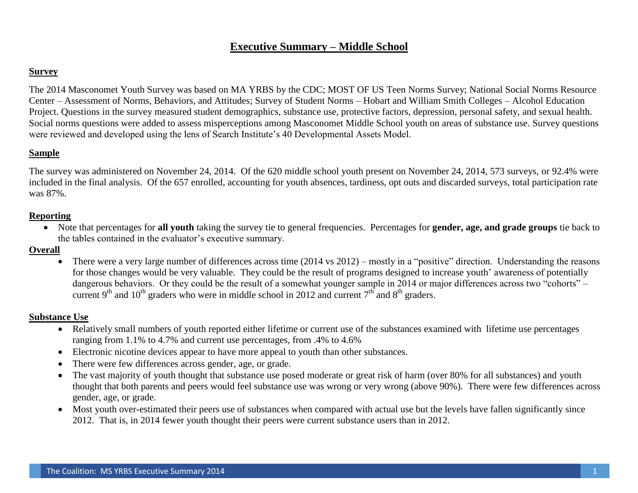# **Executive Summary – Middle School**

# **Survey**

The 2014 Masconomet Youth Survey was based on MA YRBS by the CDC; MOST OF US Teen Norms Survey; National Social Norms Resource Center – Assessment of Norms, Behaviors, and Attitudes; Survey of Student Norms – Hobart and William Smith Colleges – Alcohol Education Project. Questions in the survey measured student demographics, substance use, protective factors, depression, personal safety, and sexual health. Social norms questions were added to assess misperceptions among Masconomet Middle School youth on areas of substance use. Survey questions were reviewed and developed using the lens of Search Institute's 40 Developmental Assets Model.

# **Sample**

The survey was administered on November 24, 2014. Of the 620 middle school youth present on November 24, 2014, 573 surveys, or 92.4% were included in the final analysis. Of the 657 enrolled, accounting for youth absences, tardiness, opt outs and discarded surveys, total participation rate was 87%.

# **Reporting**

 Note that percentages for **all youth** taking the survey tie to general frequencies. Percentages for **gender, age, and grade groups** tie back to the tables contained in the evaluator's executive summary.

## **Overall**

 There were a very large number of differences across time (2014 vs 2012) – mostly in a "positive" direction. Understanding the reasons for those changes would be very valuable. They could be the result of programs designed to increase youth' awareness of potentially dangerous behaviors. Or they could be the result of a somewhat younger sample in 2014 or major differences across two "cohorts" – current 9<sup>th</sup> and 10<sup>th</sup> graders who were in middle school in 2012 and current  $7<sup>th</sup>$  and 8<sup>th</sup> graders.

# **Substance Use**

- Relatively small numbers of youth reported either lifetime or current use of the substances examined with lifetime use percentages ranging from 1.1% to 4.7% and current use percentages, from .4% to 4.6%
- Electronic nicotine devices appear to have more appeal to youth than other substances.
- There were few differences across gender, age, or grade.
- The vast majority of youth thought that substance use posed moderate or great risk of harm (over 80% for all substances) and youth thought that both parents and peers would feel substance use was wrong or very wrong (above 90%). There were few differences across gender, age, or grade.
- Most youth over-estimated their peers use of substances when compared with actual use but the levels have fallen significantly since 2012. That is, in 2014 fewer youth thought their peers were current substance users than in 2012.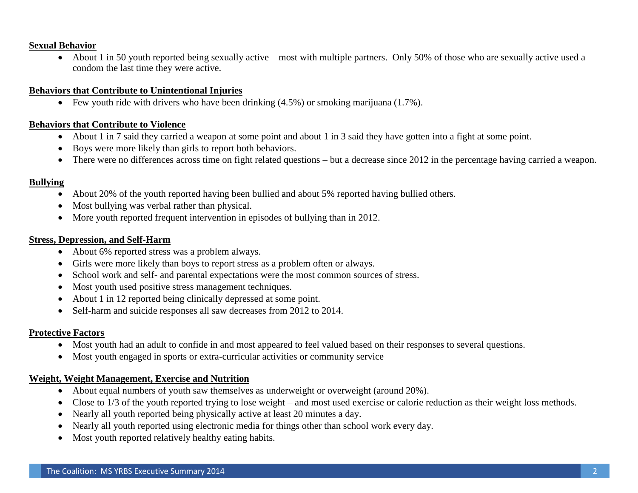### **Sexual Behavior**

• About 1 in 50 youth reported being sexually active – most with multiple partners. Only 50% of those who are sexually active used a condom the last time they were active.

### **Behaviors that Contribute to Unintentional Injuries**

Few youth ride with drivers who have been drinking  $(4.5\%)$  or smoking marijuana  $(1.7\%)$ .

## **Behaviors that Contribute to Violence**

- About 1 in 7 said they carried a weapon at some point and about 1 in 3 said they have gotten into a fight at some point.
- Boys were more likely than girls to report both behaviors.
- There were no differences across time on fight related questions but a decrease since 2012 in the percentage having carried a weapon.

## **Bullying**

- About 20% of the youth reported having been bullied and about 5% reported having bullied others.
- Most bullying was verbal rather than physical.
- More youth reported frequent intervention in episodes of bullying than in 2012.

### **Stress, Depression, and Self-Harm**

- About 6% reported stress was a problem always.
- Girls were more likely than boys to report stress as a problem often or always.
- School work and self- and parental expectations were the most common sources of stress.
- Most youth used positive stress management techniques.
- About 1 in 12 reported being clinically depressed at some point.
- Self-harm and suicide responses all saw decreases from 2012 to 2014.

## **Protective Factors**

- Most youth had an adult to confide in and most appeared to feel valued based on their responses to several questions.
- Most youth engaged in sports or extra-curricular activities or community service

### **Weight, Weight Management, Exercise and Nutrition**

- About equal numbers of youth saw themselves as underweight or overweight (around 20%).
- Close to 1/3 of the youth reported trying to lose weight and most used exercise or calorie reduction as their weight loss methods.
- Nearly all youth reported being physically active at least 20 minutes a day.
- Nearly all youth reported using electronic media for things other than school work every day.
- Most youth reported relatively healthy eating habits.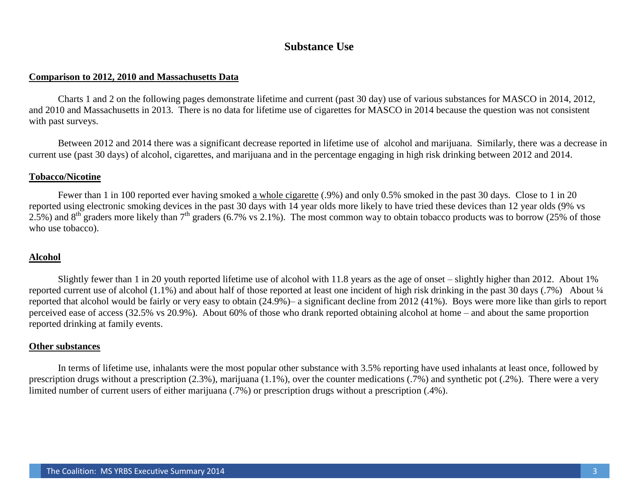# **Substance Use**

#### **Comparison to 2012, 2010 and Massachusetts Data**

Charts 1 and 2 on the following pages demonstrate lifetime and current (past 30 day) use of various substances for MASCO in 2014, 2012, and 2010 and Massachusetts in 2013. There is no data for lifetime use of cigarettes for MASCO in 2014 because the question was not consistent with past surveys.

Between 2012 and 2014 there was a significant decrease reported in lifetime use of alcohol and marijuana. Similarly, there was a decrease in current use (past 30 days) of alcohol, cigarettes, and marijuana and in the percentage engaging in high risk drinking between 2012 and 2014.

#### **Tobacco/Nicotine**

Fewer than 1 in 100 reported ever having smoked a whole cigarette (.9%) and only 0.5% smoked in the past 30 days. Close to 1 in 20 reported using electronic smoking devices in the past 30 days with 14 year olds more likely to have tried these devices than 12 year olds (9% vs 2.5%) and  $8<sup>th</sup>$  graders more likely than  $7<sup>th</sup>$  graders (6.7% vs 2.1%). The most common way to obtain tobacco products was to borrow (25% of those who use tobacco).

### **Alcohol**

Slightly fewer than 1 in 20 youth reported lifetime use of alcohol with 11.8 years as the age of onset – slightly higher than 2012. About 1% reported current use of alcohol (1.1%) and about half of those reported at least one incident of high risk drinking in the past 30 days (.7%) About ¼ reported that alcohol would be fairly or very easy to obtain (24.9%)– a significant decline from 2012 (41%). Boys were more like than girls to report perceived ease of access (32.5% vs 20.9%). About 60% of those who drank reported obtaining alcohol at home – and about the same proportion reported drinking at family events.

### **Other substances**

In terms of lifetime use, inhalants were the most popular other substance with 3.5% reporting have used inhalants at least once, followed by prescription drugs without a prescription (2.3%), marijuana (1.1%), over the counter medications (.7%) and synthetic pot (.2%). There were a very limited number of current users of either marijuana (.7%) or prescription drugs without a prescription (.4%).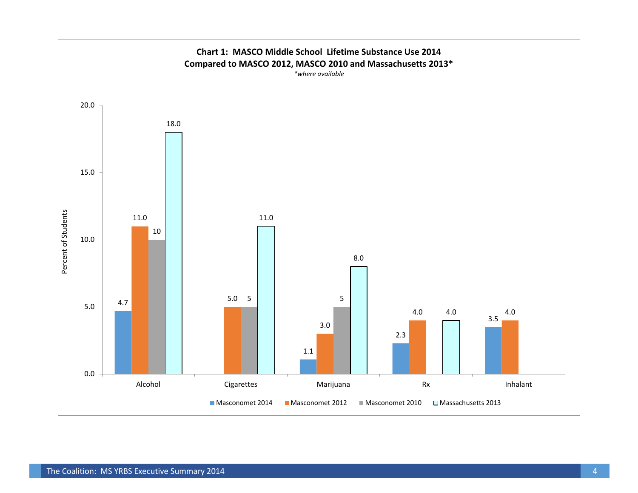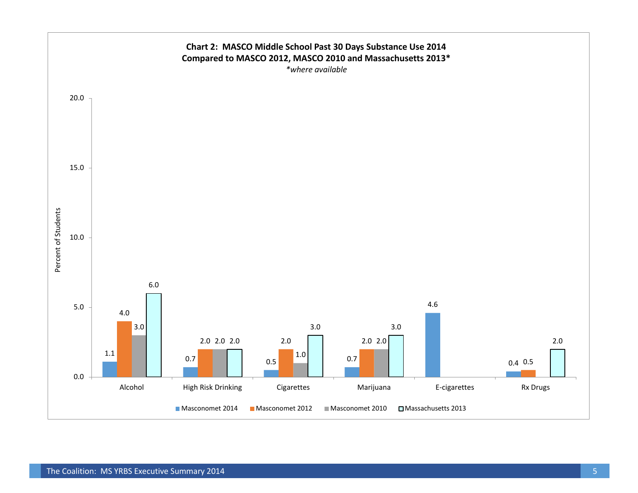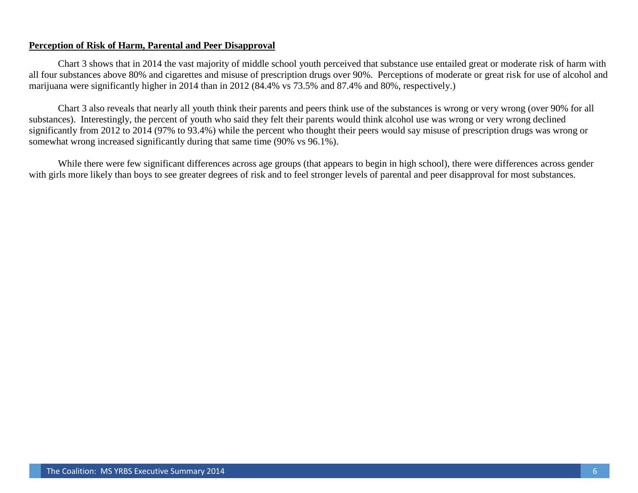### **Perception of Risk of Harm, Parental and Peer Disapproval**

Chart 3 shows that in 2014 the vast majority of middle school youth perceived that substance use entailed great or moderate risk of harm with all four substances above 80% and cigarettes and misuse of prescription drugs over 90%. Perceptions of moderate or great risk for use of alcohol and marijuana were significantly higher in 2014 than in 2012 (84.4% vs 73.5% and 87.4% and 80%, respectively.)

Chart 3 also reveals that nearly all youth think their parents and peers think use of the substances is wrong or very wrong (over 90% for all substances). Interestingly, the percent of youth who said they felt their parents would think alcohol use was wrong or very wrong declined significantly from 2012 to 2014 (97% to 93.4%) while the percent who thought their peers would say misuse of prescription drugs was wrong or somewhat wrong increased significantly during that same time (90% vs 96.1%).

While there were few significant differences across age groups (that appears to begin in high school), there were differences across gender with girls more likely than boys to see greater degrees of risk and to feel stronger levels of parental and peer disapproval for most substances.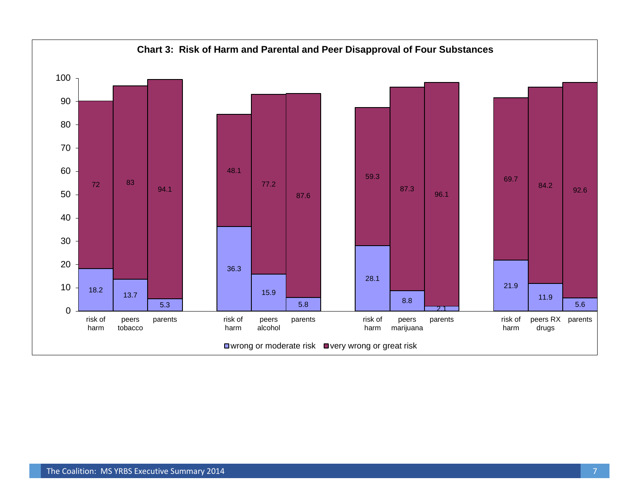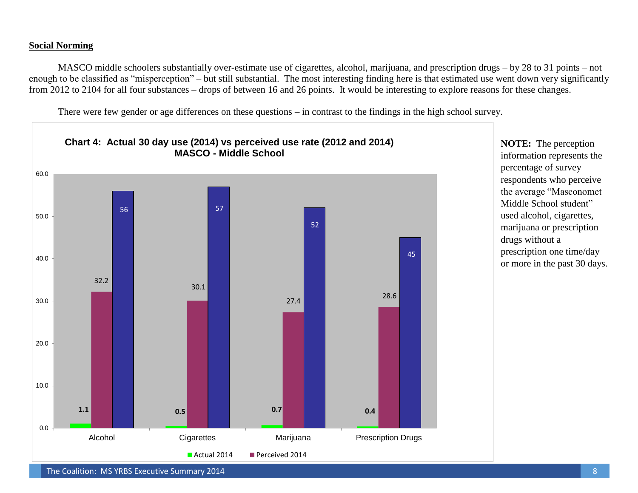### **Social Norming**

MASCO middle schoolers substantially over-estimate use of cigarettes, alcohol, marijuana, and prescription drugs – by 28 to 31 points – not enough to be classified as "misperception" – but still substantial. The most interesting finding here is that estimated use went down very significantly from 2012 to 2104 for all four substances – drops of between 16 and 26 points. It would be interesting to explore reasons for these changes.

There were few gender or age differences on these questions – in contrast to the findings in the high school survey.



**NOTE:** The perception information represents the percentage of survey respondents who perceive the average "Masconomet Middle School student" used alcohol, cigarettes, marijuana or prescription drugs without a prescription one time/day or more in the past 30 days.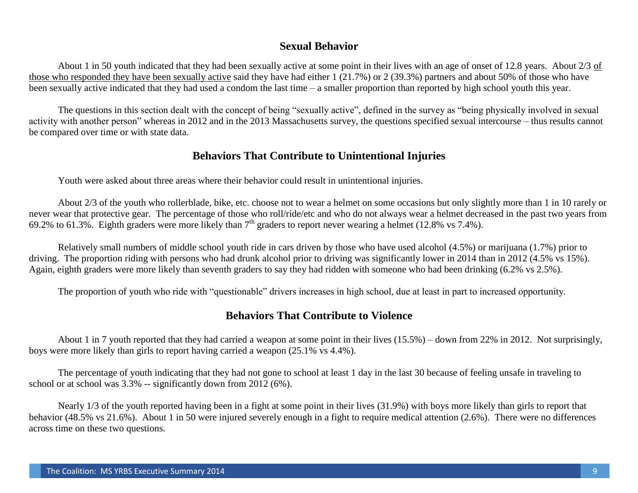# **Sexual Behavior**

About 1 in 50 youth indicated that they had been sexually active at some point in their lives with an age of onset of 12.8 years. About 2/3 of those who responded they have been sexually active said they have had either 1 (21.7%) or 2 (39.3%) partners and about 50% of those who have been sexually active indicated that they had used a condom the last time – a smaller proportion than reported by high school youth this year.

The questions in this section dealt with the concept of being "sexually active", defined in the survey as "being physically involved in sexual activity with another person" whereas in 2012 and in the 2013 Massachusetts survey, the questions specified sexual intercourse – thus results cannot be compared over time or with state data.

# **Behaviors That Contribute to Unintentional Injuries**

Youth were asked about three areas where their behavior could result in unintentional injuries.

About 2/3 of the youth who rollerblade, bike, etc. choose not to wear a helmet on some occasions but only slightly more than 1 in 10 rarely or never wear that protective gear. The percentage of those who roll/ride/etc and who do not always wear a helmet decreased in the past two years from 69.2% to 61.3%. Eighth graders were more likely than  $7<sup>th</sup>$  graders to report never wearing a helmet (12.8% vs 7.4%).

Relatively small numbers of middle school youth ride in cars driven by those who have used alcohol (4.5%) or marijuana (1.7%) prior to driving. The proportion riding with persons who had drunk alcohol prior to driving was significantly lower in 2014 than in 2012 (4.5% vs 15%). Again, eighth graders were more likely than seventh graders to say they had ridden with someone who had been drinking (6.2% vs 2.5%).

The proportion of youth who ride with "questionable" drivers increases in high school, due at least in part to increased opportunity.

# **Behaviors That Contribute to Violence**

About 1 in 7 youth reported that they had carried a weapon at some point in their lives (15.5%) – down from 22% in 2012. Not surprisingly, boys were more likely than girls to report having carried a weapon (25.1% vs 4.4%).

The percentage of youth indicating that they had not gone to school at least 1 day in the last 30 because of feeling unsafe in traveling to school or at school was 3.3% -- significantly down from 2012 (6%).

Nearly 1/3 of the youth reported having been in a fight at some point in their lives (31.9%) with boys more likely than girls to report that behavior (48.5% vs 21.6%). About 1 in 50 were injured severely enough in a fight to require medical attention (2.6%). There were no differences across time on these two questions.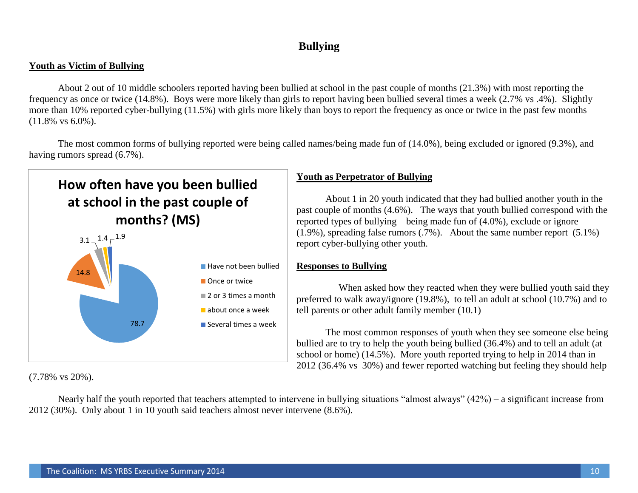# **Bullying**

## **Youth as Victim of Bullying**

About 2 out of 10 middle schoolers reported having been bullied at school in the past couple of months (21.3%) with most reporting the frequency as once or twice (14.8%). Boys were more likely than girls to report having been bullied several times a week (2.7% vs .4%). Slightly more than 10% reported cyber-bullying (11.5%) with girls more likely than boys to report the frequency as once or twice in the past few months (11.8% vs 6.0%).

The most common forms of bullying reported were being called names/being made fun of (14.0%), being excluded or ignored (9.3%), and having rumors spread (6.7%).



(7.78% vs 20%).

# **Youth as Perpetrator of Bullying**

About 1 in 20 youth indicated that they had bullied another youth in the past couple of months (4.6%). The ways that youth bullied correspond with the reported types of bullying – being made fun of (4.0%), exclude or ignore  $(1.9\%)$ , spreading false rumors  $(.7\%)$ . About the same number report  $(5.1\%)$ report cyber-bullying other youth.

# **Responses to Bullying**

When asked how they reacted when they were bullied youth said they preferred to walk away/ignore (19.8%), to tell an adult at school (10.7%) and to tell parents or other adult family member (10.1)

The most common responses of youth when they see someone else being bullied are to try to help the youth being bullied (36.4%) and to tell an adult (at school or home) (14.5%). More youth reported trying to help in 2014 than in 2012 (36.4% vs 30%) and fewer reported watching but feeling they should help

Nearly half the youth reported that teachers attempted to intervene in bullying situations "almost always" (42%) – a significant increase from 2012 (30%). Only about 1 in 10 youth said teachers almost never intervene (8.6%).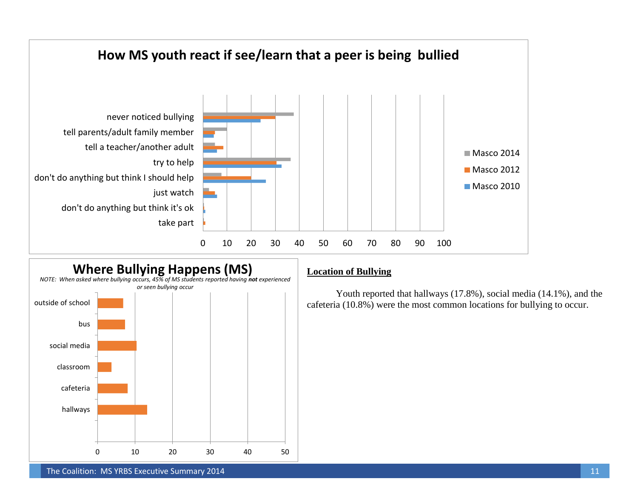



## **Location of Bullying**

Youth reported that hallways (17.8%), social media (14.1%), and the cafeteria (10.8%) were the most common locations for bullying to occur.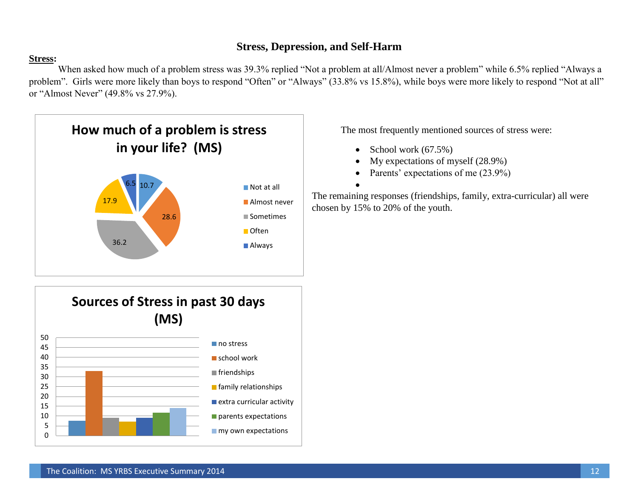# **Stress, Depression, and Self-Harm**

# **Stress:**

When asked how much of a problem stress was 39.3% replied "Not a problem at all/Almost never a problem" while 6.5% replied "Always a problem". Girls were more likely than boys to respond "Often" or "Always" (33.8% vs 15.8%), while boys were more likely to respond "Not at all" or "Almost Never" (49.8% vs 27.9%).



The most frequently mentioned sources of stress were:

School work (67.5%)

 $\bullet$ 

- My expectations of myself (28.9%)
- Parents' expectations of me (23.9%)

The remaining responses (friendships, family, extra-curricular) all were chosen by 15% to 20% of the youth.

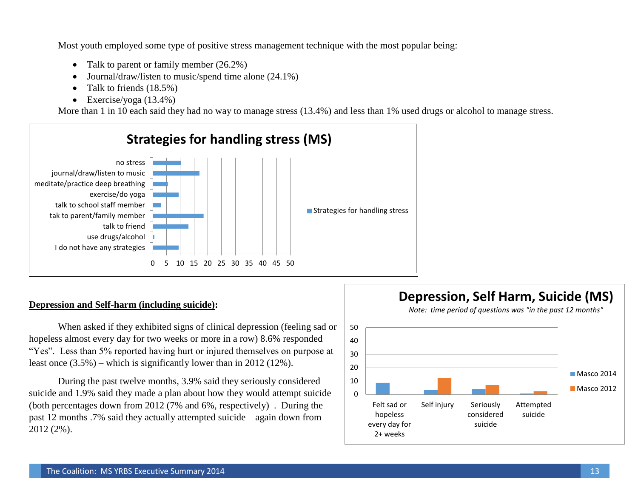Most youth employed some type of positive stress management technique with the most popular being:

- Talk to parent or family member  $(26.2\%)$
- Journal/draw/listen to music/spend time alone  $(24.1\%)$
- Talk to friends  $(18.5\%)$
- Exercise/yoga  $(13.4\%)$

More than 1 in 10 each said they had no way to manage stress (13.4%) and less than 1% used drugs or alcohol to manage stress.



### **Depression and Self-harm (including suicide):**

When asked if they exhibited signs of clinical depression (feeling sad or hopeless almost every day for two weeks or more in a row) 8.6% responded "Yes". Less than 5% reported having hurt or injured themselves on purpose at least once (3.5%) – which is significantly lower than in 2012 (12%).

During the past twelve months, 3.9% said they seriously considered suicide and 1.9% said they made a plan about how they would attempt suicide (both percentages down from 2012 (7% and 6%, respectively) . During the past 12 months .7% said they actually attempted suicide – again down from 2012 (2%).



**Depression, Self Harm, Suicide (MS)**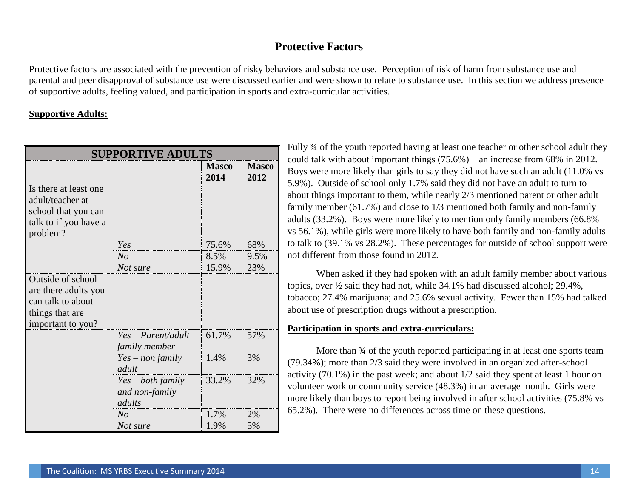# **Protective Factors**

Protective factors are associated with the prevention of risky behaviors and substance use. Perception of risk of harm from substance use and parental and peer disapproval of substance use were discussed earlier and were shown to relate to substance use. In this section we address presence of supportive adults, feeling valued, and participation in sports and extra-curricular activities.

# **Supportive Adults:**

| <b>SUPPORTIVE ADULTS</b>                                                                               |                                                 |                      |                      |  |  |
|--------------------------------------------------------------------------------------------------------|-------------------------------------------------|----------------------|----------------------|--|--|
|                                                                                                        |                                                 | <b>Masco</b><br>2014 | <b>Masco</b><br>2012 |  |  |
| Is there at least one.<br>adult/teacher at<br>school that you can<br>talk to if you have a<br>problem? |                                                 |                      |                      |  |  |
|                                                                                                        | Yes                                             | 75.6%                | 68%                  |  |  |
|                                                                                                        | N <sub>o</sub>                                  | 8.5%                 | 9.5%                 |  |  |
|                                                                                                        | Not sure                                        | 15.9%                | 23%                  |  |  |
| Outside of school<br>are there adults you<br>can talk to about<br>things that are<br>important to you? |                                                 |                      |                      |  |  |
|                                                                                                        | $Yes - Parent/adult$<br>family member           | 61.7%                | 57%                  |  |  |
|                                                                                                        | $Yes - non family$<br>adult                     | 1.4%                 | 3%                   |  |  |
|                                                                                                        | $Yes - both family$<br>and non-family<br>adults | 33.2%                | 32%                  |  |  |
|                                                                                                        | N <sub>o</sub>                                  | 1.7%                 | 2%                   |  |  |
|                                                                                                        | Not sure                                        | 1.9%                 | 5%                   |  |  |

Fully ¾ of the youth reported having at least one teacher or other school adult they could talk with about important things (75.6%) – an increase from 68% in 2012. Boys were more likely than girls to say they did not have such an adult (11.0% vs 5.9%). Outside of school only 1.7% said they did not have an adult to turn to about things important to them, while nearly 2/3 mentioned parent or other adult family member (61.7%) and close to 1/3 mentioned both family and non-family adults (33.2%). Boys were more likely to mention only family members (66.8% vs 56.1%), while girls were more likely to have both family and non-family adults to talk to (39.1% vs 28.2%). These percentages for outside of school support were not different from those found in 2012.

When asked if they had spoken with an adult family member about various topics, over ½ said they had not, while 34.1% had discussed alcohol; 29.4%, tobacco; 27.4% marijuana; and 25.6% sexual activity. Fewer than 15% had talked about use of prescription drugs without a prescription.

### **Participation in sports and extra-curriculars:**

More than  $\frac{3}{4}$  of the youth reported participating in at least one sports team (79.34%); more than 2/3 said they were involved in an organized after-school activity (70.1%) in the past week; and about 1/2 said they spent at least 1 hour on volunteer work or community service (48.3%) in an average month. Girls were more likely than boys to report being involved in after school activities (75.8% vs 65.2%). There were no differences across time on these questions.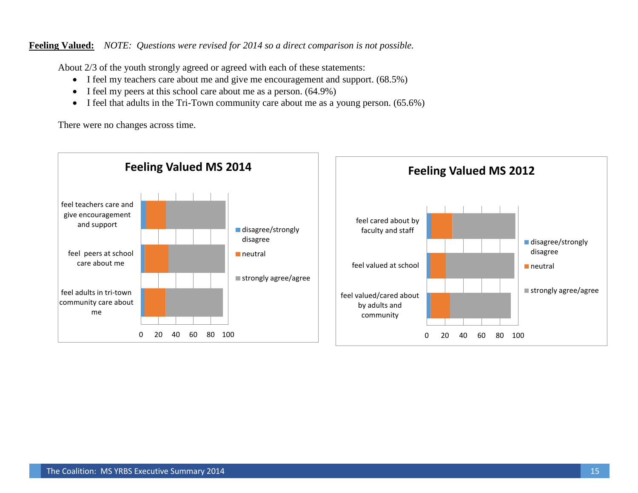**Feeling Valued:** *NOTE: Questions were revised for 2014 so a direct comparison is not possible.*

About 2/3 of the youth strongly agreed or agreed with each of these statements:

- I feel my teachers care about me and give me encouragement and support. (68.5%)
- $\bullet$  I feel my peers at this school care about me as a person. (64.9%)
- I feel that adults in the Tri-Town community care about me as a young person. (65.6%)

There were no changes across time.